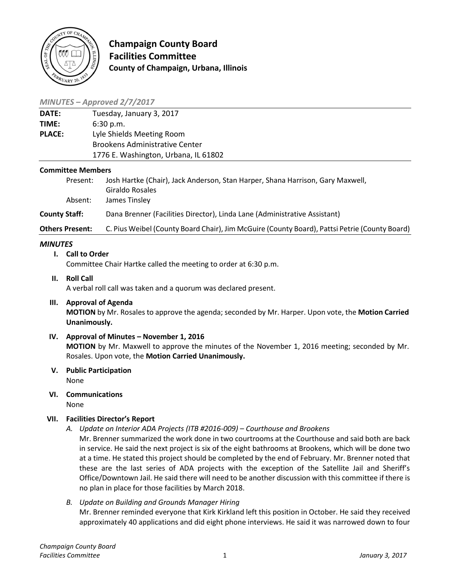

**Champaign County Board Facilities Committee County of Champaign, Urbana, Illinois**

## *MINUTES – Approved 2/7/2017*

| <b>DATE:</b>  | Tuesday, January 3, 2017              |
|---------------|---------------------------------------|
| TIME:         | 6:30 p.m.                             |
| <b>PLACE:</b> | Lyle Shields Meeting Room             |
|               | <b>Brookens Administrative Center</b> |
|               | 1776 E. Washington, Urbana, IL 61802  |
|               |                                       |

#### **Committee Members**

| Present:             | Josh Hartke (Chair), Jack Anderson, Stan Harper, Shana Harrison, Gary Maxwell,<br>Giraldo Rosales |
|----------------------|---------------------------------------------------------------------------------------------------|
| Absent:              | James Tinsley                                                                                     |
| <b>County Staff:</b> | Dana Brenner (Facilities Director), Linda Lane (Administrative Assistant)                         |
| Others Present:      | C. Pius Weibel (County Board Chair), Jim McGuire (County Board), Pattsi Petrie (County Board)     |

## *MINUTES*

### **I. Call to Order**

Committee Chair Hartke called the meeting to order at 6:30 p.m.

**II. Roll Call** A verbal roll call was taken and a quorum was declared present.

# **III. Approval of Agenda**

**MOTION** by Mr. Rosales to approve the agenda; seconded by Mr. Harper. Upon vote, the **Motion Carried Unanimously.**

- **IV. Approval of Minutes – November 1, 2016 MOTION** by Mr. Maxwell to approve the minutes of the November 1, 2016 meeting; seconded by Mr. Rosales. Upon vote, the **Motion Carried Unanimously.**
- **V. Public Participation** None
- **VI. Communications** None

### **VII. Facilities Director's Report**

*A. Update on Interior ADA Projects (ITB #2016-009) – Courthouse and Brookens*

Mr. Brenner summarized the work done in two courtrooms at the Courthouse and said both are back in service. He said the next project is six of the eight bathrooms at Brookens, which will be done two at a time. He stated this project should be completed by the end of February. Mr. Brenner noted that these are the last series of ADA projects with the exception of the Satellite Jail and Sheriff's Office/Downtown Jail. He said there will need to be another discussion with this committee if there is no plan in place for those facilities by March 2018.

*B. Update on Building and Grounds Manager Hiring* Mr. Brenner reminded everyone that Kirk Kirkland left this position in October. He said they received approximately 40 applications and did eight phone interviews. He said it was narrowed down to four